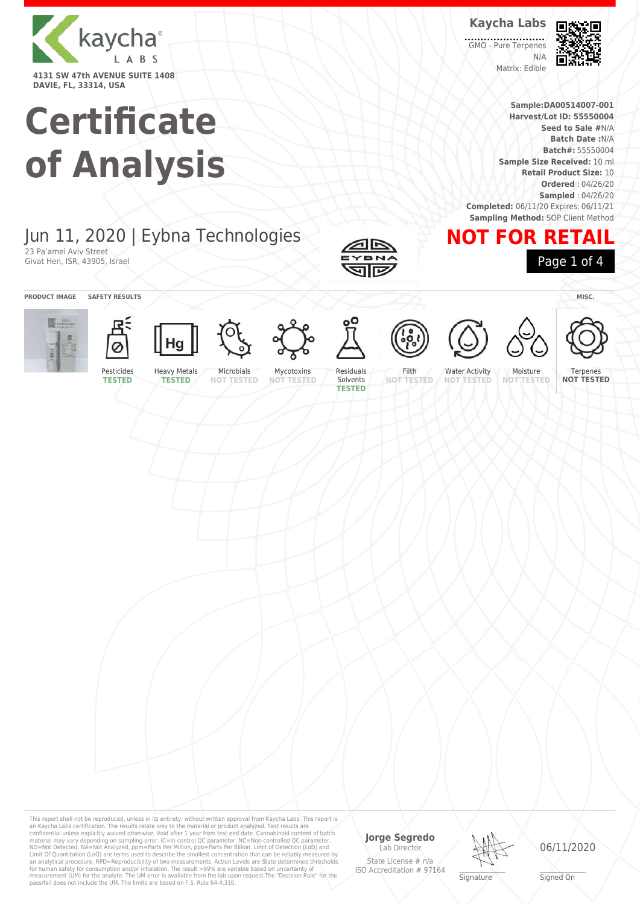

# **Certificate of Analysis**

**Kaycha Labs** GMO - Pure Terpenes N/A

Matrix: Edible



**Sample:DA00514007-001 Harvest/Lot ID: 55550004 Seed to Sale #**N/A **Batch Date :**N/A **Batch#:** 55550004 **Sample Size Received:** 10 ml **Retail Product Size:** 10 **Ordered** : 04/26/20 **Sampled** : 04/26/20 **Completed:** 06/11/20 Expires: 06/11/21 **Sampling Method: SOP Client Method** 

**NOT FOR RETAIL**

### Jun 11, 2020 | Eybna Technologies 23 Pa'amei Aviv Street

Givat Hen, ISR, 43905, Israel

**PRODUCT IMAGE SAFETY RESULTS MISC.**























Page 1 of 4

Pesticides **TESTED**

Heavy Metals **TESTED NOT TESTED**

Mycotoxins **NOT TESTED** Residuals Solvents **TESTED**

Filth **NOT TESTED**

Water Activity **NOT TESTED**

Moisture **NOT TESTED**

Terpenes **NOT TESTED**

This report shall not be reproduced, unless in its entirety, without written approval from Kaycha Labs. This report is an Kaycha Labs certification. The results relate only to the material or product analyzed. Test results are<br>confidential unless explicitly waived otherwise. Void after 1 year from test end date. Cannabinoid content of batc an analytical procedure. RPD=Reproducibility of two measurements. Action Levels are State determined thresholds<br>for human safety for consumption and/or inhalation. The result >99% are variable based on uncertainty of<br>measu

#### **Jorge Segredo** Lab Director

State License # n/a ISO Accreditation # 97164



06/11/2020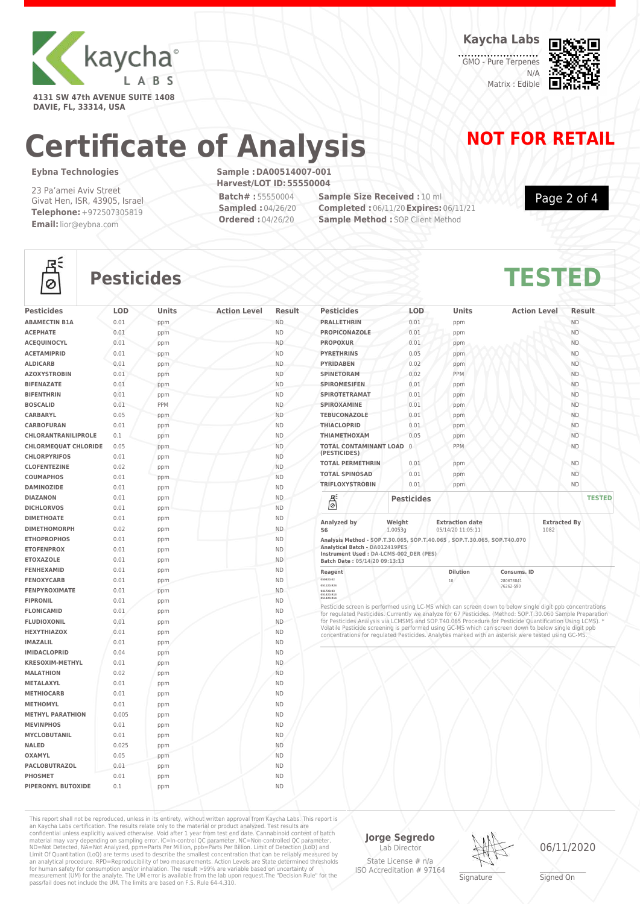

**4131 SW 47th AVENUE SUITE 1408 DAVIE, FL, 33314, USA**

**Kaycha Labs**

GMO - Pure Terpenes N/A Matrix : Edible



### **Certificate of Analysis NOT FOR RETAIL**

#### **Eybna Technologies**

23 Pa'amei Aviv Street Givat Hen, ISR, 43905, Israel **Telephone:** +972507305819 **Email:**lior@eybna.com

**Sample :DA00514007-001 Harvest/LOT ID:55550004 Batch# :** 55550004 **Sampled :** 04/26/20

**Ordered :** 04/26/20

**Sample Size Received :** 10 ml **Completed :** 06/11/20**Expires:** 06/11/21 **Sample Method : SOP Client Method** 

Page 2 of 4



### **Pesticides TESTED**

|                             |       |     | <b>Action Level</b> | Result    |
|-----------------------------|-------|-----|---------------------|-----------|
| <b>ABAMECTIN B1A</b>        | 0.01  | ppm |                     | <b>ND</b> |
| <b>ACEPHATE</b>             | 0.01  | ppm |                     | <b>ND</b> |
| <b>ACEQUINOCYL</b>          | 0.01  | ppm |                     | <b>ND</b> |
| <b>ACETAMIPRID</b>          | 0.01  | ppm |                     | <b>ND</b> |
| <b>ALDICARB</b>             | 0.01  | ppm |                     | <b>ND</b> |
| <b>AZOXYSTROBIN</b>         | 0.01  | ppm |                     | <b>ND</b> |
| <b>BIFENAZATE</b>           | 0.01  | ppm |                     | <b>ND</b> |
| <b>BIFENTHRIN</b>           | 0.01  | ppm |                     | <b>ND</b> |
| <b>BOSCALID</b>             | 0.01  | PPM |                     | <b>ND</b> |
| <b>CARBARYL</b>             | 0.05  | ppm |                     | <b>ND</b> |
| <b>CARBOFURAN</b>           | 0.01  | ppm |                     | <b>ND</b> |
| <b>CHLORANTRANILIPROLE</b>  | 0.1   | ppm |                     | <b>ND</b> |
| <b>CHLORMEQUAT CHLORIDE</b> | 0.05  | ppm |                     | <b>ND</b> |
| <b>CHLORPYRIFOS</b>         | 0.01  | ppm |                     | <b>ND</b> |
| <b>CLOFENTEZINE</b>         | 0.02  | ppm |                     | <b>ND</b> |
| <b>COUMAPHOS</b>            | 0.01  | ppm |                     | <b>ND</b> |
| <b>DAMINOZIDE</b>           | 0.01  | ppm |                     | <b>ND</b> |
| <b>DIAZANON</b>             | 0.01  | ppm |                     | <b>ND</b> |
| <b>DICHLORVOS</b>           | 0.01  | ppm |                     | <b>ND</b> |
| <b>DIMETHOATE</b>           | 0.01  | ppm |                     | <b>ND</b> |
| <b>DIMETHOMORPH</b>         | 0.02  | ppm |                     | <b>ND</b> |
| <b>ETHOPROPHOS</b>          | 0.01  | ppm |                     | <b>ND</b> |
| <b>ETOFENPROX</b>           | 0.01  | ppm |                     | <b>ND</b> |
| <b>ETOXAZOLE</b>            | 0.01  | ppm |                     | <b>ND</b> |
| <b>FENHEXAMID</b>           | 0.01  | ppm |                     | <b>ND</b> |
| <b>FENOXYCARB</b>           | 0.01  | ppm |                     | <b>ND</b> |
| <b>FENPYROXIMATE</b>        | 0.01  | ppm |                     | <b>ND</b> |
| <b>FIPRONIL</b>             | 0.01  | ppm |                     | <b>ND</b> |
| <b>FLONICAMID</b>           | 0.01  | ppm |                     | <b>ND</b> |
| <b>FLUDIOXONIL</b>          | 0.01  | ppm |                     | <b>ND</b> |
| <b>HEXYTHIAZOX</b>          | 0.01  | ppm |                     | <b>ND</b> |
| <b>IMAZALIL</b>             | 0.01  | ppm |                     | <b>ND</b> |
| <b>IMIDACLOPRID</b>         | 0.04  | ppm |                     | <b>ND</b> |
| <b>KRESOXIM-METHYL</b>      | 0.01  | ppm |                     | ND.       |
| <b>MALATHION</b>            | 0.02  | ppm |                     | <b>ND</b> |
| <b>METALAXYL</b>            | 0.01  | ppm |                     | <b>ND</b> |
| <b>METHIOCARB</b>           | 0.01  | ppm |                     | <b>ND</b> |
| <b>METHOMYL</b>             | 0.01  | ppm |                     | <b>ND</b> |
| <b>METHYL PARATHION</b>     | 0.005 | ppm |                     | <b>ND</b> |
| <b>MEVINPHOS</b>            | 0.01  | ppm |                     | <b>ND</b> |
| <b>MYCLOBUTANIL</b>         | 0.01  | ppm |                     | <b>ND</b> |
| <b>NALED</b>                | 0.025 | ppm |                     | <b>ND</b> |
| <b>OXAMYL</b>               | 0.05  | ppm |                     | <b>ND</b> |
| <b>PACLOBUTRAZOL</b>        | 0.01  | ppm |                     | <b>ND</b> |
| <b>PHOSMET</b>              | 0.01  | ppm |                     | <b>ND</b> |
| <b>PIPERONYL BUTOXIDE</b>   | 0.1   | ppm |                     | <b>ND</b> |

| <b>Pesticides</b>                        | <b>LOD</b>        | <b>Units</b>                                | <b>Action Level</b>         | <b>Result</b> |               |
|------------------------------------------|-------------------|---------------------------------------------|-----------------------------|---------------|---------------|
| <b>PRALLETHRIN</b>                       | 0.01              | ppm                                         |                             | <b>ND</b>     |               |
| <b>PROPICONAZOLE</b>                     | 0.01              | ppm                                         |                             | <b>ND</b>     |               |
| <b>PROPOXUR</b>                          | 0.01              | ppm                                         |                             | <b>ND</b>     |               |
| <b>PYRETHRINS</b>                        | 0.05              | ppm                                         |                             | <b>ND</b>     |               |
| <b>PYRIDABEN</b>                         | 0.02              | ppm                                         |                             | <b>ND</b>     |               |
| <b>SPINETORAM</b>                        | 0.02              | <b>PPM</b>                                  |                             | <b>ND</b>     |               |
| <b>SPIROMESIFEN</b>                      | 0.01              | ppm                                         |                             | <b>ND</b>     |               |
| <b>SPIROTETRAMAT</b>                     | 0.01              | ppm                                         |                             | <b>ND</b>     |               |
| <b>SPIROXAMINE</b>                       | 0.01              | ppm                                         |                             | <b>ND</b>     |               |
| <b>TEBUCONAZOLE</b>                      | 0.01              | ppm                                         |                             | <b>ND</b>     |               |
| <b>THIACLOPRID</b>                       | 0.01              | ppm                                         |                             | <b>ND</b>     |               |
| <b>THIAMETHOXAM</b>                      | 0.05              | ppm                                         |                             | <b>ND</b>     |               |
| TOTAL CONTAMINANT LOAD 0<br>(PESTICIDES) |                   | PPM                                         |                             | <b>ND</b>     |               |
| <b>TOTAL PERMETHRIN</b>                  | 0.01              | ppm                                         |                             | <b>ND</b>     |               |
| <b>TOTAL SPINOSAD</b>                    | 0.01              | ppm                                         |                             | <b>ND</b>     |               |
| <b>TRIFLOXYSTROBIN</b>                   | 0.01              | ppm                                         |                             | <b>ND</b>     |               |
| 뵎                                        | <b>Pesticides</b> |                                             |                             |               | <b>TESTED</b> |
| Analyzed by<br>56                        | Weight<br>1.0053g | <b>Extraction date</b><br>05/14/20 11:05:11 | <b>Extracted By</b><br>1082 |               |               |

| Reagent                        |                                         | <b>Dilution</b>                                                         | Consums, ID |      |
|--------------------------------|-----------------------------------------|-------------------------------------------------------------------------|-------------|------|
| Batch Date: 05/14/20 09:13:13  |                                         |                                                                         |             |      |
|                                | Instrument Used : DA-LCMS-002 DER (PES) |                                                                         |             |      |
| Analytical Batch - DA012419PES |                                         |                                                                         |             |      |
|                                |                                         | Analysis Method - SOP.T.30.065, SOP.T.40.065, SOP.T.30.065, SOP.T40.070 |             |      |
| 56                             | 1.0053a                                 | 05/14/20 11:05:11                                                       |             | 1082 |

| Reagent                               | Dilution | Consums, ID                             |
|---------------------------------------|----------|-----------------------------------------|
| 050820.02                             | 10       | 280678841                               |
| 051120,R24                            |          | 76262-590                               |
| 041720.03<br>051420,R13<br>051420,R14 |          |                                         |
| .<br>.                                |          | and the state of<br>- -<br>and the con- |

Pesticide screen is performed using LC-MS which can screen down to below single digit ppb concentrations<br>for regulated Pesticides. Currently we analyze for 67 Pesticides. (Method: SOP.T.30.060 Sample Preparation<br>for Pestic Volatile Pesticide screening is performed using GC-MS which can screen down to below single digit ppb concentrations for regulated Pesticides. Analytes marked with an asterisk were tested using GC-MS.

This report shall not be reproduced, unless in its entirety, without written approval from Kaycha Labs. This report is<br>an Kaycha Labs certification. The results relate only to the materal or product analyzed. Test results

**Jorge Segredo** Lab Director State License # n/a

ISO Accreditation # 97164



06/11/2020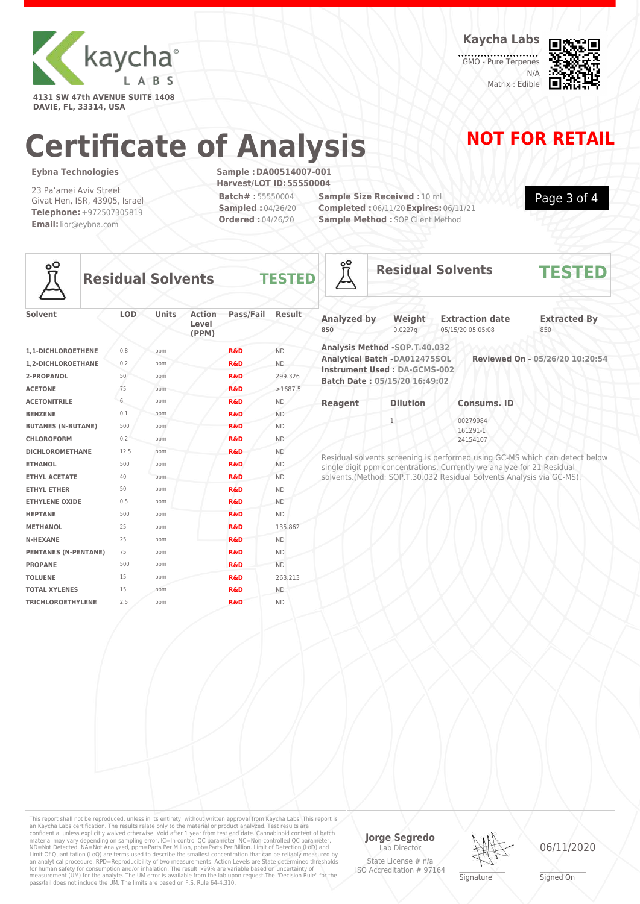

**DAVIE, FL, 33314, USA**

**Kaycha Labs**

GMO - Pure Terpenes N/A Matrix : Edible



Page 3 of 4

## **Certificate of Analysis NOT FOR RETAIL**

#### **Eybna Technologies**

23 Pa'amei Aviv Street Givat Hen, ISR, 43905, Israel **Telephone:** +972507305819 **Email:**lior@eybna.com

**Sample :DA00514007-001 Harvest/LOT ID:55550004 Batch# :** 55550004 **Sampled :** 04/26/20 **Ordered :** 04/26/20

**Sample Size Received :** 10 ml **Completed :** 06/11/20**Expires:** 06/11/21 **Sample Method : SOP Client Method** 

å



**Residual Solvents TESTE** 

**ETHYL ETHER** 50 ppm **R&D** ND **ETHYLENE OXIDE** 0.5 ppm **R&D** ND **HEPTANE** 500 ppm **R&D** ND **METHANOL** 25 ppm **R&D** 135.862 **N-HEXANE** 25 ppm **R&D** ND **PENTANES (N-PENTANE)** 75 ppm **R&D** ND **PROPANE** 500 ppm **R&D** ND **TOLUENE** 15 ppm **R&D** 263.213 **TOTAL XYLENES** 15 ppm **R&D** ND **TRICHLOROETHYLENE** 2.5 ppm **R&D** ND

| <b>Solvent</b>            | <b>LOD</b> | <b>Units</b> | <b>Action</b><br>Level<br>(PPM) | Pass/Fail      | <b>Result</b> |  |
|---------------------------|------------|--------------|---------------------------------|----------------|---------------|--|
| 1,1-DICHLOROETHENE        | 0.8        | ppm          |                                 | <b>R&amp;D</b> | <b>ND</b>     |  |
| 1,2-DICHLOROETHANE        | 0.2        | ppm          |                                 | <b>R&amp;D</b> | <b>ND</b>     |  |
| 2-PROPANOL                | 50         | ppm          |                                 | <b>R&amp;D</b> | 299.326       |  |
| <b>ACETONE</b>            | 75         | ppm          |                                 | <b>R&amp;D</b> | >1687.5       |  |
| <b>ACETONITRILE</b>       | 6          | ppm          |                                 | <b>R&amp;D</b> | <b>ND</b>     |  |
| <b>BENZENE</b>            | 0.1        | ppm          |                                 | <b>R&amp;D</b> | <b>ND</b>     |  |
| <b>BUTANES (N-BUTANE)</b> | 500        | ppm          |                                 | <b>R&amp;D</b> | <b>ND</b>     |  |
| <b>CHLOROFORM</b>         | 0.2        | ppm          |                                 | <b>R&amp;D</b> | <b>ND</b>     |  |
| <b>DICHLOROMETHANE</b>    | 12.5       | ppm          |                                 | <b>R&amp;D</b> | <b>ND</b>     |  |
| <b>ETHANOL</b>            | 500        | ppm          |                                 | <b>R&amp;D</b> | <b>ND</b>     |  |
| <b>ETHYL ACETATE</b>      | 40         | ppm          |                                 | <b>R&amp;D</b> | <b>ND</b>     |  |

| <b>Analyzed by</b><br>850                                                                                                        | Weight<br>0.0227q | <b>Extraction date</b><br>05/15/20 05:05:08 | <b>Extracted By</b><br>850      |
|----------------------------------------------------------------------------------------------------------------------------------|-------------------|---------------------------------------------|---------------------------------|
| Analysis Method -SOP.T.40.032<br>Analytical Batch -DA012475SOL<br>Instrument Used : DA-GCMS-002<br>Batch Date: 05/15/20 16:49:02 |                   |                                             | Reviewed On - 05/26/20 10:20:54 |
| <b>Reagent</b>                                                                                                                   | <b>Dilution</b>   | <b>Consums, ID</b>                          |                                 |

**Residual Solvents TESTED**

00279984 161291-1 24154107 Residual solvents screening is performed using GC-MS which can detect below

single digit ppm concentrations. Currently we analyze for 21 Residual solvents.(Method: SOP.T.30.032 Residual Solvents Analysis via GC-MS).

This report shall not be reproduced, unless in its entirety, without written approval from Kaycha Labs. This report is an Kaycha Labs certification. The results relate only to the material or product analyzed. Test results are<br>confidential unless explicitly waived otherwise. Void after 1 year from test end date. Cannabinoid content of bat Limit Of Quantitation (LoQ) are terms used to describe the smallest concentration that can be reliably measured by an analytical procedure. RPD=Reproducibility of two measurements. Action Levels are State determined thresholds for human safety for consumption and/or inhalation. The result >99% are variable based on uncertainty of measurement (UM) for the analyte. The UM error is available from the lab upon request.The "Decision Rule" for the pass/fail does not include the UM. The limits are based on F.S. Rule 64-4.310.

**Jorge Segredo** Lab Director

State License # n/a ISO Accreditation # 97164 **Signature** 



06/11/2020